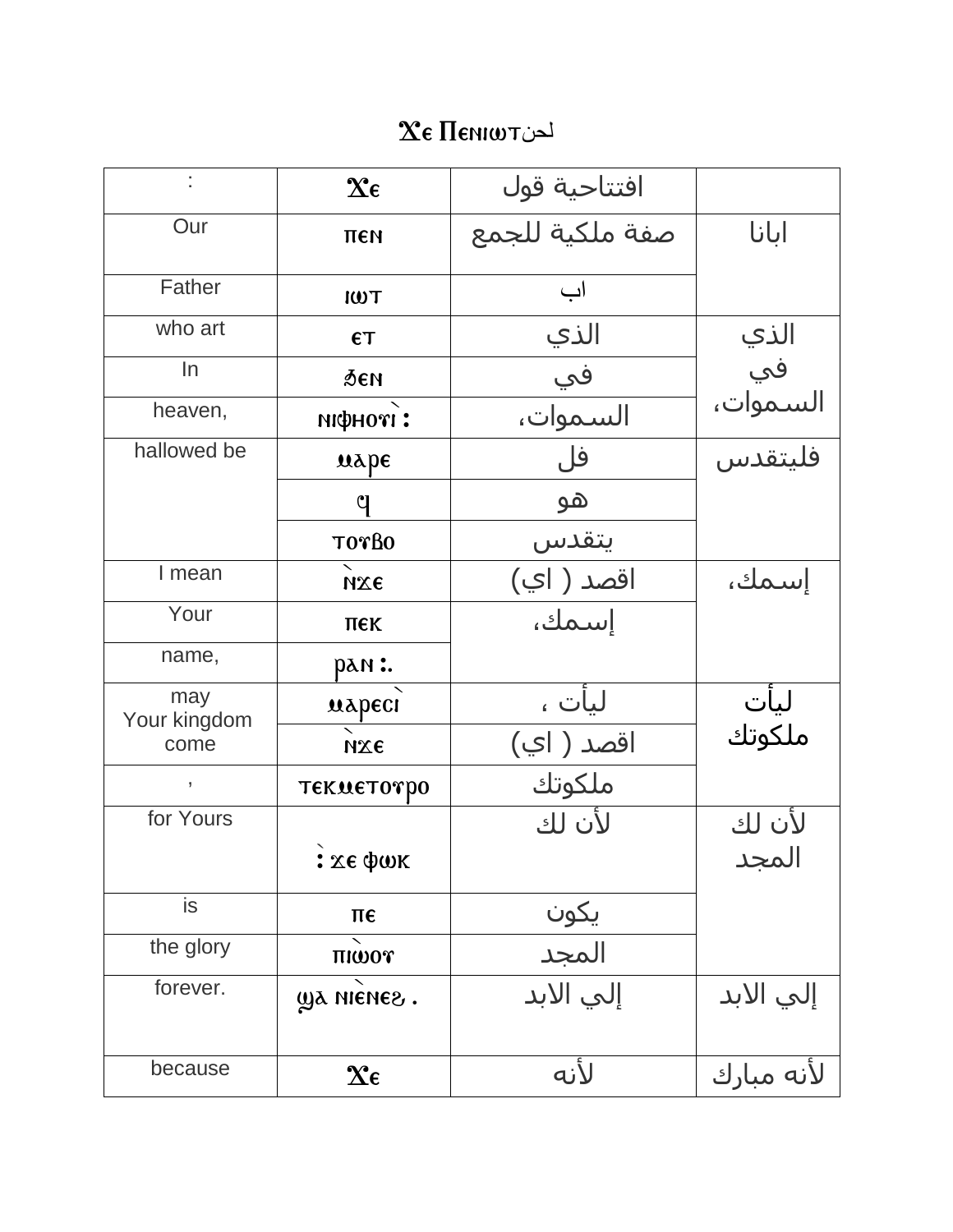## $\chi_{\varepsilon}$  Пенкот

|                     | $\mathbf{\hat{x}}$             | افتتاحية قول  |                         |
|---------------------|--------------------------------|---------------|-------------------------|
| Our                 | пен                            |               | ابانا                   |
| Father              | <b>TWI</b>                     | اب            |                         |
| who art             | ET                             | الذي          |                         |
|                     |                                |               |                         |
| In                  | Аеи                            | في            | الذي<br>في<br>السـموات، |
| heaven,             | пфноті:                        | السموات،      |                         |
| hallowed be         | $\mathbf{u}\mathbf{v}$         | فل            | فليتقدس                 |
|                     | q                              | ھو            |                         |
|                     | TOTBO                          | يتقدس         |                         |
| I mean              | ихє                            | اقصد ( اي)    | إسمك،                   |
| Your                | пек                            | إسمك،         |                         |
| name,               | рам :.                         |               |                         |
| may<br>Your kingdom | марест                         | ليأت ،        | ليأت<br>ملكوتك          |
| come                | ихе                            | اقصد ( اي)    |                         |
| ,                   | <b>ТЕКМЕТОТРО</b>              | ملكوتك        |                         |
| for Yours           |                                | لأن لك        | لأن لك                  |
|                     | <b>:</b> χε φωκ                |               | المجد                   |
| is                  | πє                             |               |                         |
| the glory           | THWOT                          | یکون<br>المجد |                         |
| forever.            | уд нієнег.                     | إلى الأبد     | إلىي الابد              |
|                     |                                |               |                         |
| because             | $\boldsymbol{\chi_{\epsilon}}$ | لأنه          | لأنه مبارك              |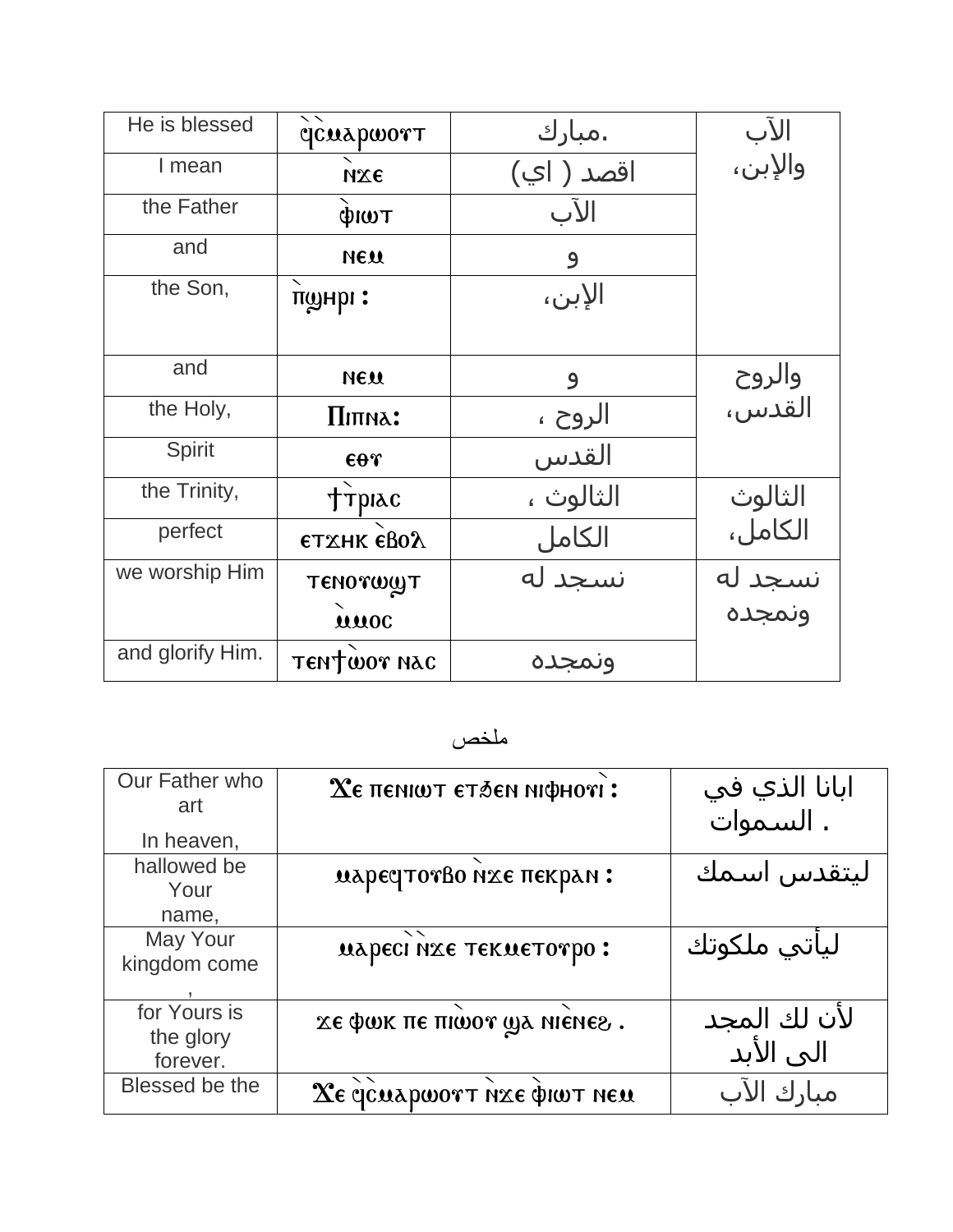| He is blessed    | ヽヽ<br><b>CONAPWOTT</b> | .مبارك     | الآب<br>والإبن،   |
|------------------|------------------------|------------|-------------------|
| I mean           | ихе                    | اقصد ( اي) |                   |
| the Father       | фиот                   | الآب       |                   |
| and              | <b>МЕЛ</b>             | 9          |                   |
| the Son,         | танри:                 | الإبن،     |                   |
|                  |                        |            |                   |
| and              | <b>МЕЛ</b>             | 9          | والروح<br>القدس،  |
| the Holy,        | Піпна:                 | الروح ،    |                   |
| <b>Spirit</b>    | $\epsilon$ or          | القدس      |                   |
| the Trinity,     | <b>TPIAC</b>           | الثالوث ،  | الثالوث           |
| perfect          | <b>ЄТХНК ЄВОЛ</b>      | الكامل     | الكامل،           |
| we worship Him   | TENOTWYT               | نسجد له    | نسجد له<br>ونمجده |
|                  | uuoc                   |            |                   |
| and glorify Him. | TENTWOT NAC            | ونمجده     |                   |

ملخص

| Our Father who | $X\epsilon$ пенішт єтбен ніфноті:                  | ابانا الذي في |
|----------------|----------------------------------------------------|---------------|
| art            |                                                    | . السموات     |
| In heaven,     |                                                    |               |
| hallowed be    | иарестотво ихе пекран:                             | ليتقدس اسمك   |
| Your           |                                                    |               |
| name,          |                                                    |               |
| May Your       | $\overline{\phantom{a}}$<br>маресі нає текметотро: | لياتپ ملکوتك  |
| kingdom come   |                                                    |               |
|                |                                                    |               |
| for Yours is   | хе фок пе пюот да ніенег.                          | لأن لك المجد  |
| the glory      |                                                    |               |
| forever.       |                                                    | الى الأبد     |
| Blessed be the | Χε γελερωοντ ήχε φιωτ nεμ                          | مبارك الآب    |